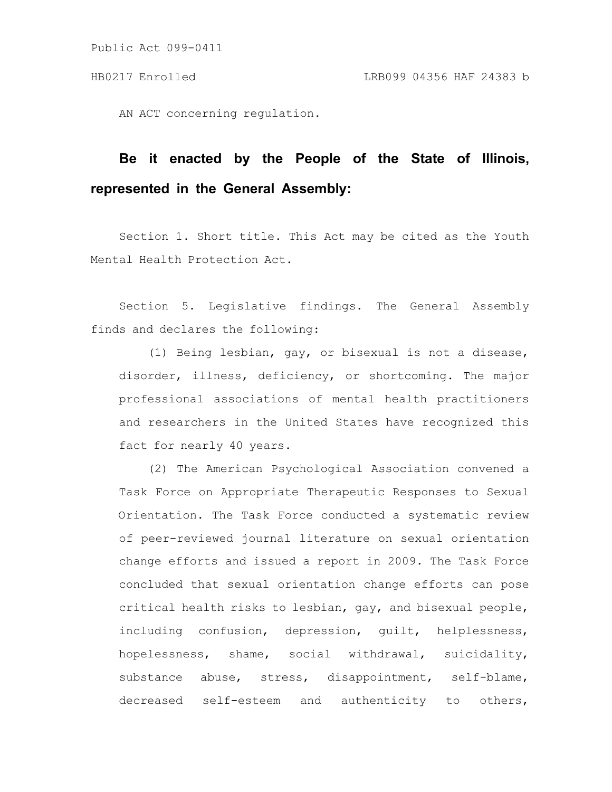AN ACT concerning regulation.

# **Be it enacted by the People of the State of Illinois, represented in the General Assembly:**

Section 1. Short title. This Act may be cited as the Youth Mental Health Protection Act.

Section 5. Legislative findings. The General Assembly finds and declares the following:

(1) Being lesbian, gay, or bisexual is not a disease, disorder, illness, deficiency, or shortcoming. The major professional associations of mental health practitioners and researchers in the United States have recognized this fact for nearly 40 years.

(2) The American Psychological Association convened a Task Force on Appropriate Therapeutic Responses to Sexual Orientation. The Task Force conducted a systematic review of peer-reviewed journal literature on sexual orientation change efforts and issued a report in 2009. The Task Force concluded that sexual orientation change efforts can pose critical health risks to lesbian, gay, and bisexual people, including confusion, depression, guilt, helplessness, hopelessness, shame, social withdrawal, suicidality, substance abuse, stress, disappointment, self-blame, decreased self-esteem and authenticity to others,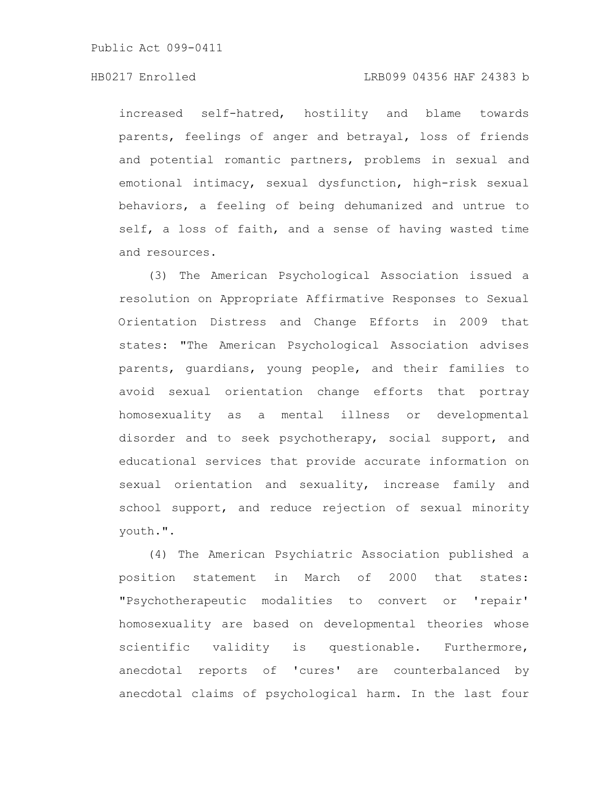increased self-hatred, hostility and blame towards parents, feelings of anger and betrayal, loss of friends and potential romantic partners, problems in sexual and emotional intimacy, sexual dysfunction, high-risk sexual behaviors, a feeling of being dehumanized and untrue to self, a loss of faith, and a sense of having wasted time and resources.

(3) The American Psychological Association issued a resolution on Appropriate Affirmative Responses to Sexual Orientation Distress and Change Efforts in 2009 that states: "The American Psychological Association advises parents, guardians, young people, and their families to avoid sexual orientation change efforts that portray homosexuality as a mental illness or developmental disorder and to seek psychotherapy, social support, and educational services that provide accurate information on sexual orientation and sexuality, increase family and school support, and reduce rejection of sexual minority youth.".

(4) The American Psychiatric Association published a position statement in March of 2000 that states: "Psychotherapeutic modalities to convert or 'repair' homosexuality are based on developmental theories whose scientific validity is questionable. Furthermore, anecdotal reports of 'cures' are counterbalanced by anecdotal claims of psychological harm. In the last four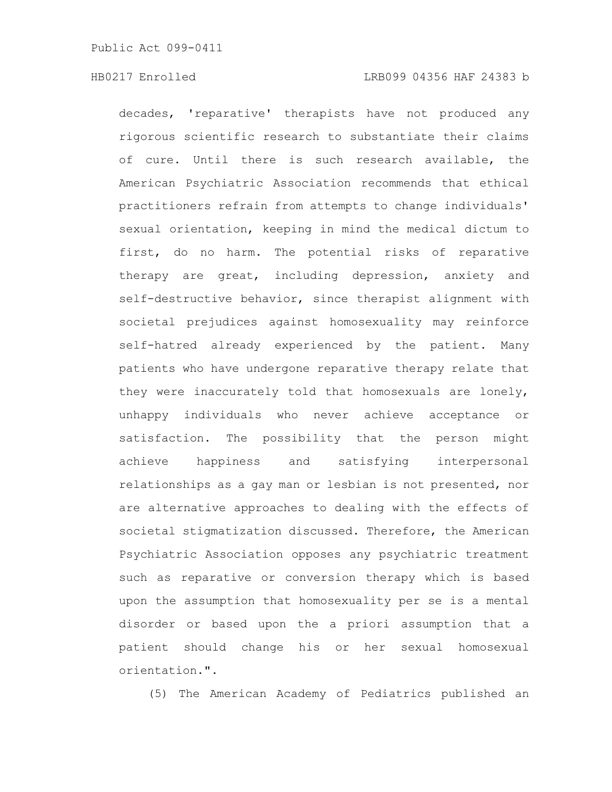decades, 'reparative' therapists have not produced any rigorous scientific research to substantiate their claims of cure. Until there is such research available, the American Psychiatric Association recommends that ethical practitioners refrain from attempts to change individuals' sexual orientation, keeping in mind the medical dictum to first, do no harm. The potential risks of reparative therapy are great, including depression, anxiety and self-destructive behavior, since therapist alignment with societal prejudices against homosexuality may reinforce self-hatred already experienced by the patient. Many patients who have undergone reparative therapy relate that they were inaccurately told that homosexuals are lonely, unhappy individuals who never achieve acceptance or satisfaction. The possibility that the person might achieve happiness and satisfying interpersonal relationships as a gay man or lesbian is not presented, nor are alternative approaches to dealing with the effects of societal stigmatization discussed. Therefore, the American Psychiatric Association opposes any psychiatric treatment such as reparative or conversion therapy which is based upon the assumption that homosexuality per se is a mental disorder or based upon the a priori assumption that a patient should change his or her sexual homosexual orientation.".

(5) The American Academy of Pediatrics published an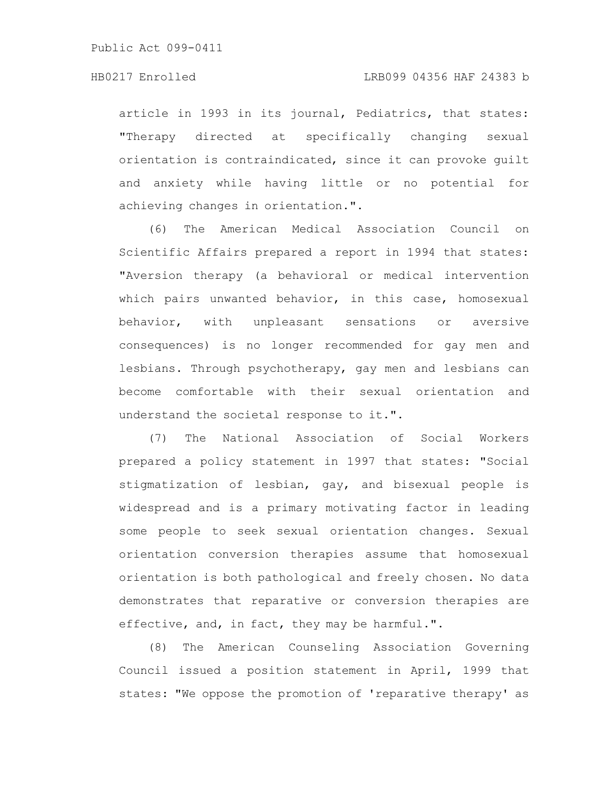# HB0217 Enrolled LRB099 04356 HAF 24383 b

article in 1993 in its journal, Pediatrics, that states: "Therapy directed at specifically changing sexual orientation is contraindicated, since it can provoke guilt and anxiety while having little or no potential for achieving changes in orientation.".

(6) The American Medical Association Council on Scientific Affairs prepared a report in 1994 that states: "Aversion therapy (a behavioral or medical intervention which pairs unwanted behavior, in this case, homosexual behavior, with unpleasant sensations or aversive consequences) is no longer recommended for gay men and lesbians. Through psychotherapy, gay men and lesbians can become comfortable with their sexual orientation and understand the societal response to it.".

(7) The National Association of Social Workers prepared a policy statement in 1997 that states: "Social stigmatization of lesbian, gay, and bisexual people is widespread and is a primary motivating factor in leading some people to seek sexual orientation changes. Sexual orientation conversion therapies assume that homosexual orientation is both pathological and freely chosen. No data demonstrates that reparative or conversion therapies are effective, and, in fact, they may be harmful.".

(8) The American Counseling Association Governing Council issued a position statement in April, 1999 that states: "We oppose the promotion of 'reparative therapy' as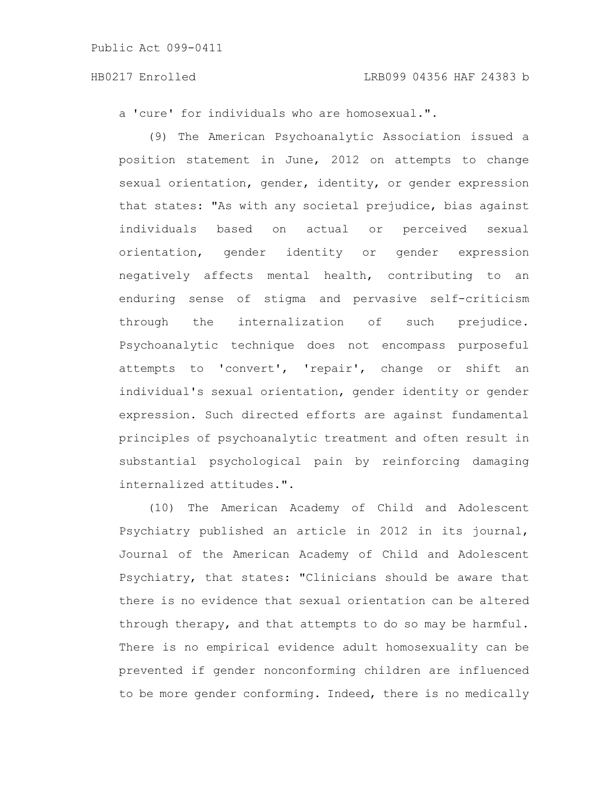a 'cure' for individuals who are homosexual.".

(9) The American Psychoanalytic Association issued a position statement in June, 2012 on attempts to change sexual orientation, gender, identity, or gender expression that states: "As with any societal prejudice, bias against individuals based on actual or perceived sexual orientation, gender identity or gender expression negatively affects mental health, contributing to an enduring sense of stigma and pervasive self-criticism through the internalization of such prejudice. Psychoanalytic technique does not encompass purposeful attempts to 'convert', 'repair', change or shift an individual's sexual orientation, gender identity or gender expression. Such directed efforts are against fundamental principles of psychoanalytic treatment and often result in substantial psychological pain by reinforcing damaging internalized attitudes.".

(10) The American Academy of Child and Adolescent Psychiatry published an article in 2012 in its journal, Journal of the American Academy of Child and Adolescent Psychiatry, that states: "Clinicians should be aware that there is no evidence that sexual orientation can be altered through therapy, and that attempts to do so may be harmful. There is no empirical evidence adult homosexuality can be prevented if gender nonconforming children are influenced to be more gender conforming. Indeed, there is no medically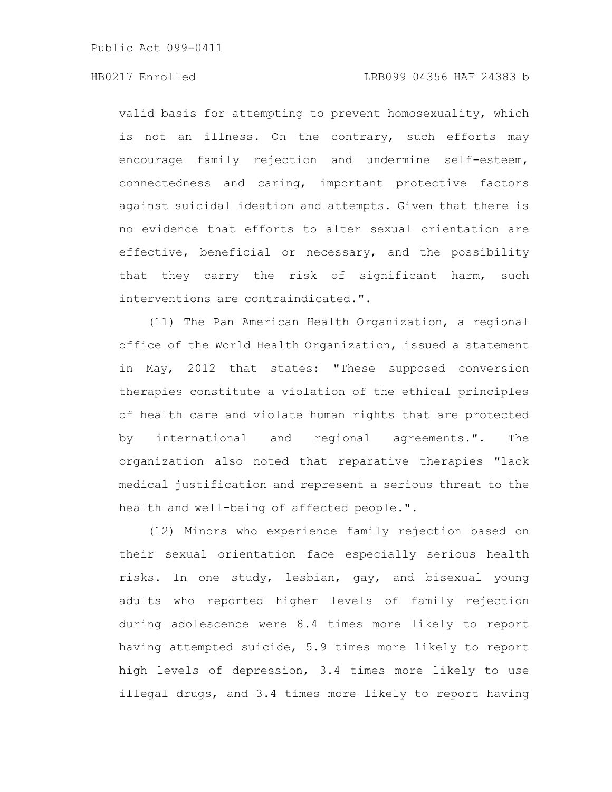valid basis for attempting to prevent homosexuality, which is not an illness. On the contrary, such efforts may encourage family rejection and undermine self-esteem, connectedness and caring, important protective factors against suicidal ideation and attempts. Given that there is no evidence that efforts to alter sexual orientation are effective, beneficial or necessary, and the possibility that they carry the risk of significant harm, such interventions are contraindicated.".

(11) The Pan American Health Organization, a regional office of the World Health Organization, issued a statement in May, 2012 that states: "These supposed conversion therapies constitute a violation of the ethical principles of health care and violate human rights that are protected by international and regional agreements.". The organization also noted that reparative therapies "lack medical justification and represent a serious threat to the health and well-being of affected people.".

(12) Minors who experience family rejection based on their sexual orientation face especially serious health risks. In one study, lesbian, gay, and bisexual young adults who reported higher levels of family rejection during adolescence were 8.4 times more likely to report having attempted suicide, 5.9 times more likely to report high levels of depression, 3.4 times more likely to use illegal drugs, and 3.4 times more likely to report having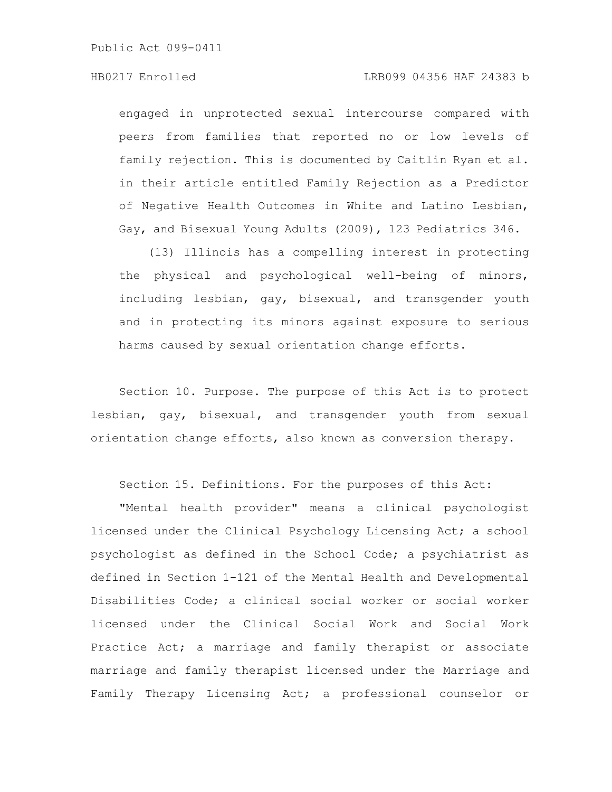# HB0217 Enrolled LRB099 04356 HAF 24383 b

engaged in unprotected sexual intercourse compared with peers from families that reported no or low levels of family rejection. This is documented by Caitlin Ryan et al. in their article entitled Family Rejection as a Predictor of Negative Health Outcomes in White and Latino Lesbian, Gay, and Bisexual Young Adults (2009), 123 Pediatrics 346.

(13) Illinois has a compelling interest in protecting the physical and psychological well-being of minors, including lesbian, gay, bisexual, and transgender youth and in protecting its minors against exposure to serious harms caused by sexual orientation change efforts.

Section 10. Purpose. The purpose of this Act is to protect lesbian, gay, bisexual, and transgender youth from sexual orientation change efforts, also known as conversion therapy.

Section 15. Definitions. For the purposes of this Act:

"Mental health provider" means a clinical psychologist licensed under the Clinical Psychology Licensing Act; a school psychologist as defined in the School Code; a psychiatrist as defined in Section 1-121 of the Mental Health and Developmental Disabilities Code; a clinical social worker or social worker licensed under the Clinical Social Work and Social Work Practice Act; a marriage and family therapist or associate marriage and family therapist licensed under the Marriage and Family Therapy Licensing Act; a professional counselor or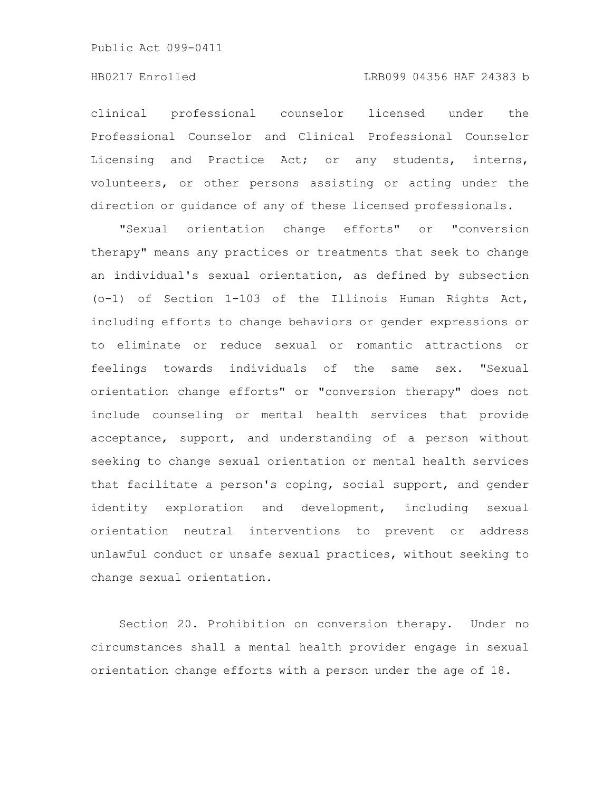# HB0217 Enrolled LRB099 04356 HAF 24383 b

clinical professional counselor licensed under the Professional Counselor and Clinical Professional Counselor Licensing and Practice Act; or any students, interns, volunteers, or other persons assisting or acting under the direction or guidance of any of these licensed professionals.

"Sexual orientation change efforts" or "conversion therapy" means any practices or treatments that seek to change an individual's sexual orientation, as defined by subsection (o-1) of Section 1-103 of the Illinois Human Rights Act, including efforts to change behaviors or gender expressions or to eliminate or reduce sexual or romantic attractions or feelings towards individuals of the same sex. "Sexual orientation change efforts" or "conversion therapy" does not include counseling or mental health services that provide acceptance, support, and understanding of a person without seeking to change sexual orientation or mental health services that facilitate a person's coping, social support, and gender identity exploration and development, including sexual orientation neutral interventions to prevent or address unlawful conduct or unsafe sexual practices, without seeking to change sexual orientation.

Section 20. Prohibition on conversion therapy. Under no circumstances shall a mental health provider engage in sexual orientation change efforts with a person under the age of 18.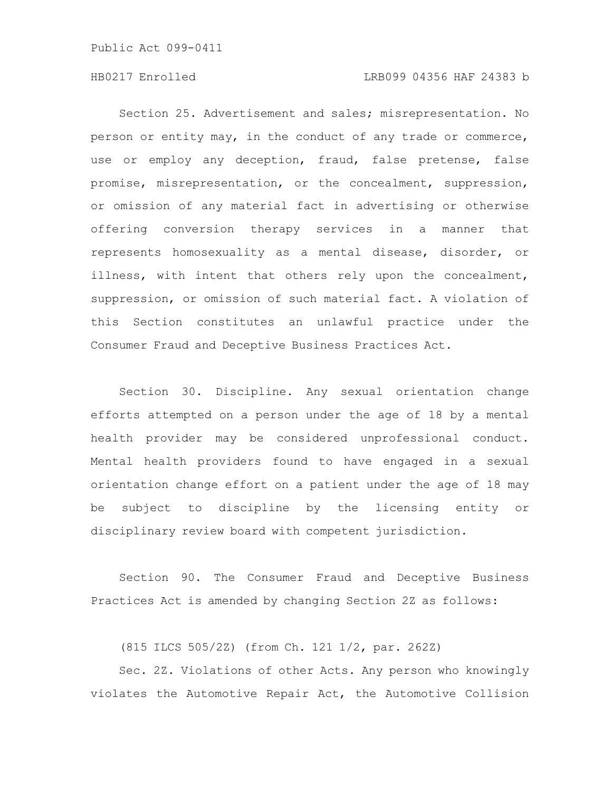# HB0217 Enrolled LRB099 04356 HAF 24383 b

Section 25. Advertisement and sales; misrepresentation. No person or entity may, in the conduct of any trade or commerce, use or employ any deception, fraud, false pretense, false promise, misrepresentation, or the concealment, suppression, or omission of any material fact in advertising or otherwise offering conversion therapy services in a manner that represents homosexuality as a mental disease, disorder, or illness, with intent that others rely upon the concealment, suppression, or omission of such material fact. A violation of this Section constitutes an unlawful practice under the Consumer Fraud and Deceptive Business Practices Act.

Section 30. Discipline. Any sexual orientation change efforts attempted on a person under the age of 18 by a mental health provider may be considered unprofessional conduct. Mental health providers found to have engaged in a sexual orientation change effort on a patient under the age of 18 may be subject to discipline by the licensing entity or disciplinary review board with competent jurisdiction.

Section 90. The Consumer Fraud and Deceptive Business Practices Act is amended by changing Section 2Z as follows:

(815 ILCS 505/2Z) (from Ch. 121 1/2, par. 262Z)

Sec. 2Z. Violations of other Acts. Any person who knowingly violates the Automotive Repair Act, the Automotive Collision